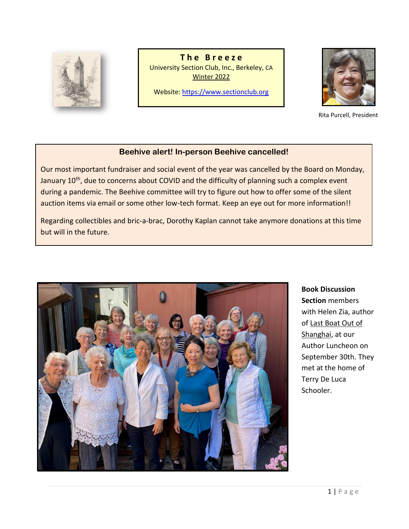

**T h e B r e e z e** University Section Club, Inc., Berkeley, CA Winter 2022

Website[: https://www.sectionclub.org](https://www.sectionclub.org/)



Rita Purcell, President

# **Beehive alert! In-person Beehive cancelled!**

Our most important fundraiser and social event of the year was cancelled by the Board on Monday, January 10<sup>th</sup>, due to concerns about COVID and the difficulty of planning such a complex event during a pandemic. The Beehive committee will try to figure out how to offer some of the silent auction items via email or some other low-tech format. Keep an eye out for more information!!

Regarding collectibles and bric-a-brac, Dorothy Kaplan cannot take anymore donations at this time but will in the future.



**Book Discussion Section** members with Helen Zia, author of Last Boat Out of Shanghai, at our Author Luncheon on September 30th. They met at the home of Terry De Luca Schooler.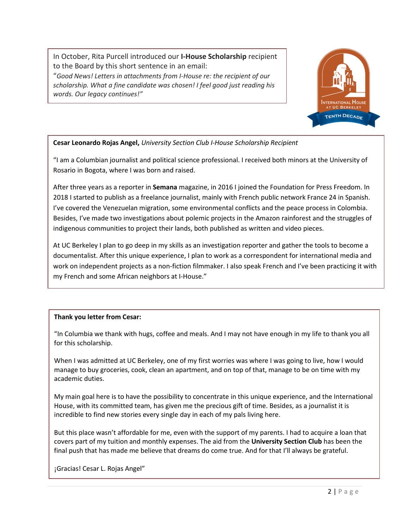In October, Rita Purcell introduced our **I-House Scholarship** recipient to the Board by this short sentence in an email:

"*Good News! Letters in attachments from I-House re: the recipient of our scholarship. What a fine candidate was chosen! I feel good just reading his words. Our legacy continues!"*



## **Cesar Leonardo Rojas Angel,** *University Section Club I-House Scholarship Recipient*

"I am a Columbian journalist and political science professional. I received both minors at the University of Rosario in Bogota, where I was born and raised.

After three years as a reporter in **Semana** magazine, in 2016 I joined the Foundation for Press Freedom. In 2018 I started to publish as a freelance journalist, mainly with French public network France 24 in Spanish. I've covered the Venezuelan migration, some environmental conflicts and the peace process in Colombia. Besides, I've made two investigations about polemic projects in the Amazon rainforest and the struggles of indigenous communities to project their lands, both published as written and video pieces.

At UC Berkeley I plan to go deep in my skills as an investigation reporter and gather the tools to become a documentalist. After this unique experience, I plan to work as a correspondent for international media and work on independent projects as a non-fiction filmmaker. I also speak French and I've been practicing it with my French and some African neighbors at I-House."

## **Thank you letter from Cesar:**

"In Columbia we thank with hugs, coffee and meals. And I may not have enough in my life to thank you all for this scholarship.

When I was admitted at UC Berkeley, one of my first worries was where I was going to live, how I would manage to buy groceries, cook, clean an apartment, and on top of that, manage to be on time with my academic duties.

My main goal here is to have the possibility to concentrate in this unique experience, and the International House, with its committed team, has given me the precious gift of time. Besides, as a journalist it is incredible to find new stories every single day in each of my pals living here.

But this place wasn't affordable for me, even with the support of my parents. I had to acquire a loan that covers part of my tuition and monthly expenses. The aid from the **University Section Club** has been the final push that has made me believe that dreams do come true. And for that I'll always be grateful.

¡Gracias! Cesar L. Rojas Angel"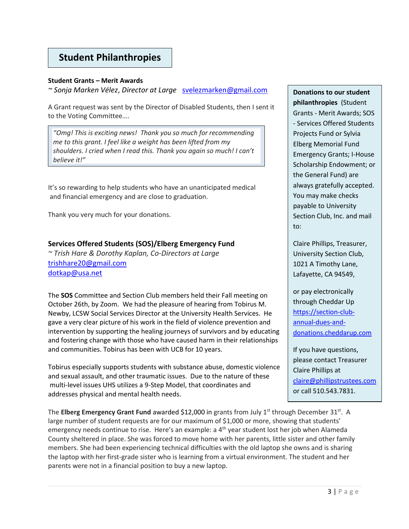# **Student Philanthropies**

#### **Student Grants – Merit Awards**

*~ Sonja Marken Vélez*, *Director at Large* [svelezmarken@gmail.com](mailto:svelezmarken@gmail.com)

A Grant request was sent by the Director of Disabled Students, then I sent it to the Voting Committee….

*"Omg! This is exciting news! Thank you so much for recommending me to this grant. I feel like a weight has been lifted from my shoulders. I cried when I read this. Thank you again so much! I can't believe it!"*

It's so rewarding to help students who have an unanticipated medical and financial emergency and are close to graduation.

Thank you very much for your donations.

## **Services Offered Students (SOS)/Elberg Emergency Fund**

*~ Trish Hare & Dorothy Kaplan, Co-Directors at Large* [trishhare20@gmail.com](mailto:trishhare20@gmail.com)  [dotkap@usa.net](mailto:dotkap@usa.net)

The **SOS** Committee and Section Club members held their Fall meeting on October 26th, by Zoom. We had the pleasure of hearing from Tobirus M. Newby, LCSW Social Services Director at the University Health Services. He gave a very clear picture of his work in the field of violence prevention and intervention by supporting the healing journeys of survivors and by educating and fostering change with those who have caused harm in their relationships and communities. Tobirus has been with UCB for 10 years.

Tobirus especially supports students with substance abuse, domestic violence and sexual assault, and other traumatic issues. Due to the nature of these multi-level issues UHS utilizes a 9-Step Model, that coordinates and addresses physical and mental health needs.

The **Elberg Emergency Grant Fund** awarded \$12,000 in grants from July 1<sup>st</sup> through December 31<sup>st</sup>. A large number of student requests are for our maximum of \$1,000 or more, showing that students' emergency needs continue to rise. Here's an example: a 4<sup>th</sup> year student lost her job when Alameda County sheltered in place. She was forced to move home with her parents, little sister and other family members. She had been experiencing technical difficulties with the old laptop she owns and is sharing the laptop with her first-grade sister who is learning from a virtual environment. The student and her parents were not in a financial position to buy a new laptop.

**Donations to our student philanthropies** (Student Grants - Merit Awards; SOS - Services Offered Students Projects Fund or Sylvia Elberg Memorial Fund Emergency Grants; I-House Scholarship Endowment; or the General Fund) are always gratefully accepted. You may make checks payable to University Section Club, Inc. and mail to:

Claire Phillips, Treasurer, University Section Club, 1021 A Timothy Lane, Lafayette, CA 94549,

or pay electronically through Cheddar Up [https://section-club](https://section-club-annual-dues-and-donations.cheddarup.com/)[annual-dues-and](https://section-club-annual-dues-and-donations.cheddarup.com/)[donations.cheddarup.com](https://section-club-annual-dues-and-donations.cheddarup.com/)

If you have questions, please contact Treasurer Claire Phillips at [claire@phillipstrustees.com](file:///C:/Users/Phil/Documents/OldComputer/Section%20Club/The%20Breeze/Fall%202021/claire@phillipstrustees.com) or call 510.543.7831.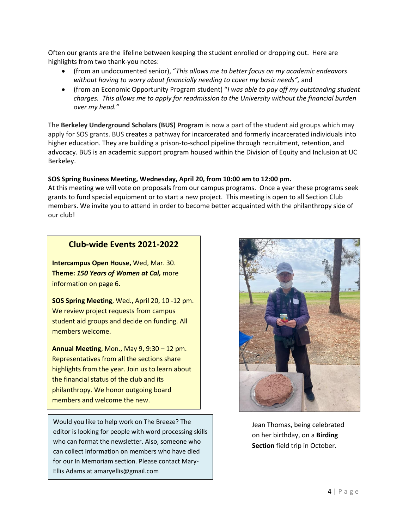Often our grants are the lifeline between keeping the student enrolled or dropping out. Here are highlights from two thank-you notes:

- (from an undocumented senior), "*This allows me to better focus on my academic endeavors without having to worry about financially needing to cover my basic needs",* and
- (from an Economic Opportunity Program student) "*I was able to pay off my outstanding student charges. This allows me to apply for readmission to the University without the financial burden over my head."*

The **Berkeley Underground Scholars (BUS) Program** is now a part of the student aid groups which may apply for SOS grants. BUS creates a pathway for incarcerated and formerly incarcerated individuals into higher education. They are building a prison-to-school pipeline through recruitment, retention, and advocacy. BUS is an academic support program housed within the Division of Equity and Inclusion at UC Berkeley.

#### **SOS Spring Business Meeting, Wednesday, April 20, from 10:00 am to 12:00 pm.**

At this meeting we will vote on proposals from our campus programs. Once a year these programs seek grants to fund special equipment or to start a new project. This meeting is open to all Section Club members. We invite you to attend in order to become better acquainted with the philanthropy side of our club!

# **Club-wide Events 2021-2022**

**Intercampus Open House,** Wed, Mar. 30. **Theme:** *150 Years of Women at Cal,* more information on page 6.

**SOS Spring Meeting**, Wed., April 20, 10 -12 pm. We review project requests from campus student aid groups and decide on funding. All members welcome.

**Annual Meeting**, Mon., May 9, 9:30 – 12 pm. Representatives from all the sections share highlights from the year. Join us to learn about the financial status of the club and its philanthropy. We honor outgoing board members and welcome the new.

Would you like to help work on The Breeze? The editor is looking for people with word processing skills who can format the newsletter. Also, someone who can collect information on members who have died for our In Memoriam section. Please contact Mary-Ellis Adams at amaryellis@gmail.com



Jean Thomas, being celebrated on her birthday, on a **Birding Section** field trip in October.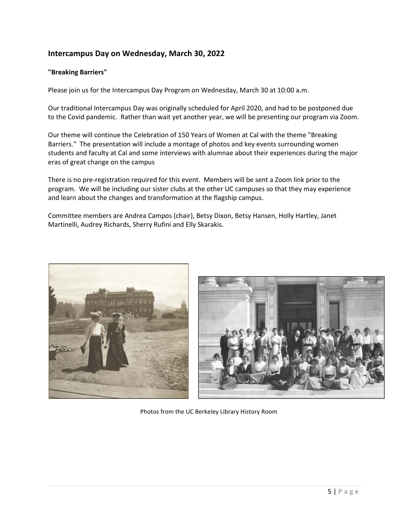# **Intercampus Day on Wednesday, March 30, 2022**

#### **"Breaking Barriers"**

Please join us for the Intercampus Day Program on Wednesday, March 30 at 10:00 a.m.

Our traditional Intercampus Day was originally scheduled for April 2020, and had to be postponed due to the Covid pandemic. Rather than wait yet another year, we will be presenting our program via Zoom.

Our theme will continue the Celebration of 150 Years of Women at Cal with the theme "Breaking Barriers." The presentation will include a montage of photos and key events surrounding women students and faculty at Cal and some interviews with alumnae about their experiences during the major eras of great change on the campus

There is no pre-registration required for this event. Members will be sent a Zoom link prior to the program. We will be including our sister clubs at the other UC campuses so that they may experience and learn about the changes and transformation at the flagship campus.

Committee members are Andrea Campos (chair), Betsy Dixon, Betsy Hansen, Holly Hartley, Janet Martinelli, Audrey Richards, Sherry Rufini and Elly Skarakis.





Photos from the UC Berkeley Library History Room